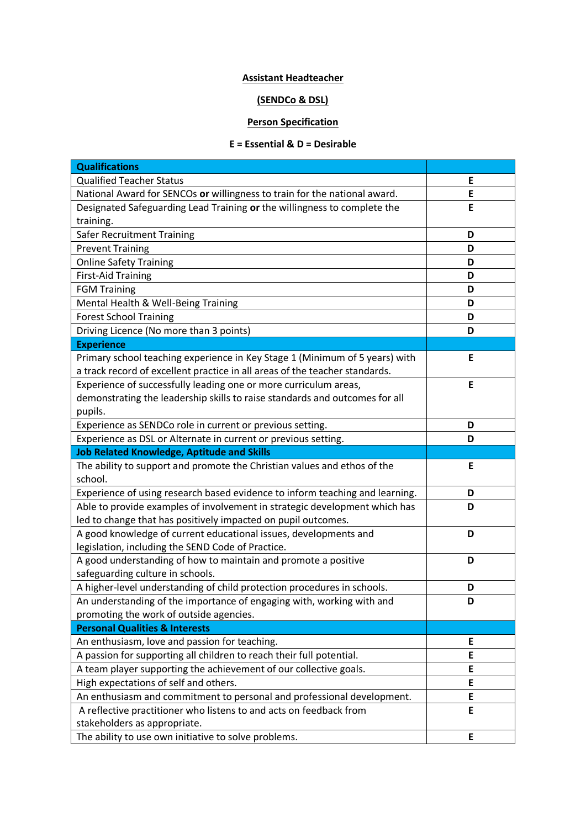## **Assistant Headteacher**

## **(SENDCo & DSL)**

## **Person Specification**

## **E = Essential & D = Desirable**

| <b>Qualifications</b>                                                        |   |
|------------------------------------------------------------------------------|---|
| <b>Qualified Teacher Status</b>                                              | E |
| National Award for SENCOs or willingness to train for the national award.    | E |
| Designated Safeguarding Lead Training or the willingness to complete the     | E |
| training.                                                                    |   |
| Safer Recruitment Training                                                   | D |
| <b>Prevent Training</b>                                                      | D |
| <b>Online Safety Training</b>                                                | D |
| <b>First-Aid Training</b>                                                    | D |
| <b>FGM Training</b>                                                          | D |
| Mental Health & Well-Being Training                                          | D |
| <b>Forest School Training</b>                                                | D |
| Driving Licence (No more than 3 points)                                      | D |
| <b>Experience</b>                                                            |   |
| Primary school teaching experience in Key Stage 1 (Minimum of 5 years) with  | E |
| a track record of excellent practice in all areas of the teacher standards.  |   |
| Experience of successfully leading one or more curriculum areas,             | E |
| demonstrating the leadership skills to raise standards and outcomes for all  |   |
| pupils.                                                                      |   |
| Experience as SENDCo role in current or previous setting.                    | D |
| Experience as DSL or Alternate in current or previous setting.               | D |
| <b>Job Related Knowledge, Aptitude and Skills</b>                            |   |
| The ability to support and promote the Christian values and ethos of the     | E |
| school.                                                                      |   |
| Experience of using research based evidence to inform teaching and learning. | D |
| Able to provide examples of involvement in strategic development which has   | D |
| led to change that has positively impacted on pupil outcomes.                |   |
| A good knowledge of current educational issues, developments and             | D |
| legislation, including the SEND Code of Practice.                            |   |
| A good understanding of how to maintain and promote a positive               | D |
| safeguarding culture in schools.                                             |   |
| A higher-level understanding of child protection procedures in schools.      | D |
| An understanding of the importance of engaging with, working with and        | D |
| promoting the work of outside agencies.                                      |   |
| <b>Personal Qualities &amp; Interests</b>                                    |   |
| An enthusiasm, love and passion for teaching.                                | E |
| A passion for supporting all children to reach their full potential.         | E |
| A team player supporting the achievement of our collective goals.            | E |
| High expectations of self and others.                                        | E |
| An enthusiasm and commitment to personal and professional development.       | E |
| A reflective practitioner who listens to and acts on feedback from           | E |
| stakeholders as appropriate.                                                 |   |
| The ability to use own initiative to solve problems.                         | E |